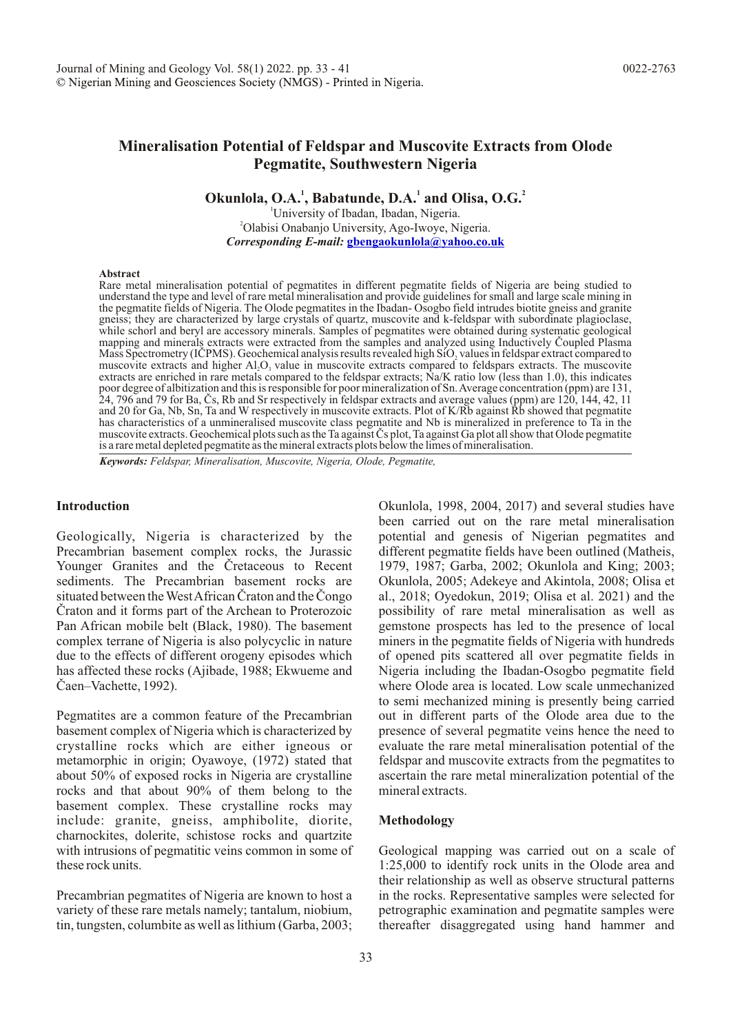# **Mineralisation Potential of Feldspar and Muscovite Extracts from Olode Pegmatite, Southwestern Nigeria**

**Okunlola, O.A.**<sup>1</sup>, Babatunde, D.A.<sup>1</sup> and Olisa, O.G.<sup>2</sup>

<sup>1</sup>University of Ibadan, Ibadan, Nigeria. <sup>2</sup>Olabisi Onabanjo University, Ago-Iwoye, Nigeria. *Corresponding E-mail:* **gbengaokunlola@yahoo.co.uk**

#### **Abstract**

Rare metal mineralisation potential of pegmatites in different pegmatite fields of Nigeria are being studied to understand the type and level of rare metal mineralisation and provide guidelines for small and large scale mining in the pegmatite fields of Nigeria. The Olode pegmatites in the Ibadan- Osogbo field intrudes biotite gneiss and granite gneiss; they are characterized by large crystals of quartz, muscovite and k-feldspar with subordinate plagioclase, while schorl and beryl are accessory minerals. Samples of pegmatites were obtained during systematic geological mapping and minerals extracts were extracted from the samples and analyzed using Inductively Coupled Plasma Mass Spectrometry (ICPMS). Geochemical analysis results revealed high SiO, values in feldspar extract compared to muscovite extracts and higher  $AI, O<sub>3</sub>$  value in muscovite extracts compared to feldspars extracts. The muscovite extracts are enriched in rare metals compared to the feldspar extracts; Na/K ratio low (less than 1.0), this indicates poor degree of albitization and this is responsible for poor mineralization of Sn. Average concentration (ppm) are 131, 24, 796 and 79 for Ba, Cs, Rb and Sr respectively in feldspar extracts and average values (ppm) are 120, 144, 42, 11 and 20 for Ga, Nb, Sn, Ta and W respectively in muscovite extracts. Plot of K/Rb against Rb showed that pegmatite has characteristics of a unmineralised muscovite class pegmatite and Nb is mineralized in preference to Ta in the muscovite extracts. Geochemical plots such as the Ta against Cs plot, Ta against Ga plot all show that Olode pegmatite is a rare metal depleted pegmatite as the mineral extracts plots below the limes of mineralisation.

*Keywords: Feldspar, Mineralisation, Muscovite, Nigeria, Olode, Pegmatite,*

#### **Introduction**

Geologically, Nigeria is characterized by the Precambrian basement complex rocks, the Jurassic Younger Granites and the Cretaceous to Recent sediments. The Precambrian basement rocks are situated between the West African Craton and the Congo Craton and it forms part of the Archean to Proterozoic Pan African mobile belt (Black, 1980). The basement complex terrane of Nigeria is also polycyclic in nature due to the effects of different orogeny episodes which has affected these rocks (Ajibade, 1988; Ekwueme and Caen–Vachette, 1992).

Pegmatites are a common feature of the Precambrian basement complex of Nigeria which is characterized by crystalline rocks which are either igneous or metamorphic in origin; Oyawoye, (1972) stated that about 50% of exposed rocks in Nigeria are crystalline rocks and that about 90% of them belong to the basement complex. These crystalline rocks may include: granite, gneiss, amphibolite, diorite, charnockites, dolerite, schistose rocks and quartzite with intrusions of pegmatitic veins common in some of these rock units.

Precambrian pegmatites of Nigeria are known to host a variety of these rare metals namely; tantalum, niobium, tin, tungsten, columbite as well as lithium (Garba, 2003; Okunlola, 1998, 2004, 2017) and several studies have been carried out on the rare metal mineralisation potential and genesis of Nigerian pegmatites and different pegmatite fields have been outlined (Matheis, 1979, 1987; Garba, 2002; Okunlola and King; 2003; Okunlola, 2005; Adekeye and Akintola, 2008; Olisa et al., 2018; Oyedokun, 2019; Olisa et al. 2021) and the possibility of rare metal mineralisation as well as gemstone prospects has led to the presence of local miners in the pegmatite fields of Nigeria with hundreds of opened pits scattered all over pegmatite fields in Nigeria including the Ibadan-Osogbo pegmatite field where Olode area is located. Low scale unmechanized to semi mechanized mining is presently being carried out in different parts of the Olode area due to the presence of several pegmatite veins hence the need to evaluate the rare metal mineralisation potential of the feldspar and muscovite extracts from the pegmatites to ascertain the rare metal mineralization potential of the mineral extracts.

#### **Methodology**

Geological mapping was carried out on a scale of 1:25,000 to identify rock units in the Olode area and their relationship as well as observe structural patterns in the rocks. Representative samples were selected for petrographic examination and pegmatite samples were thereafter disaggregated using hand hammer and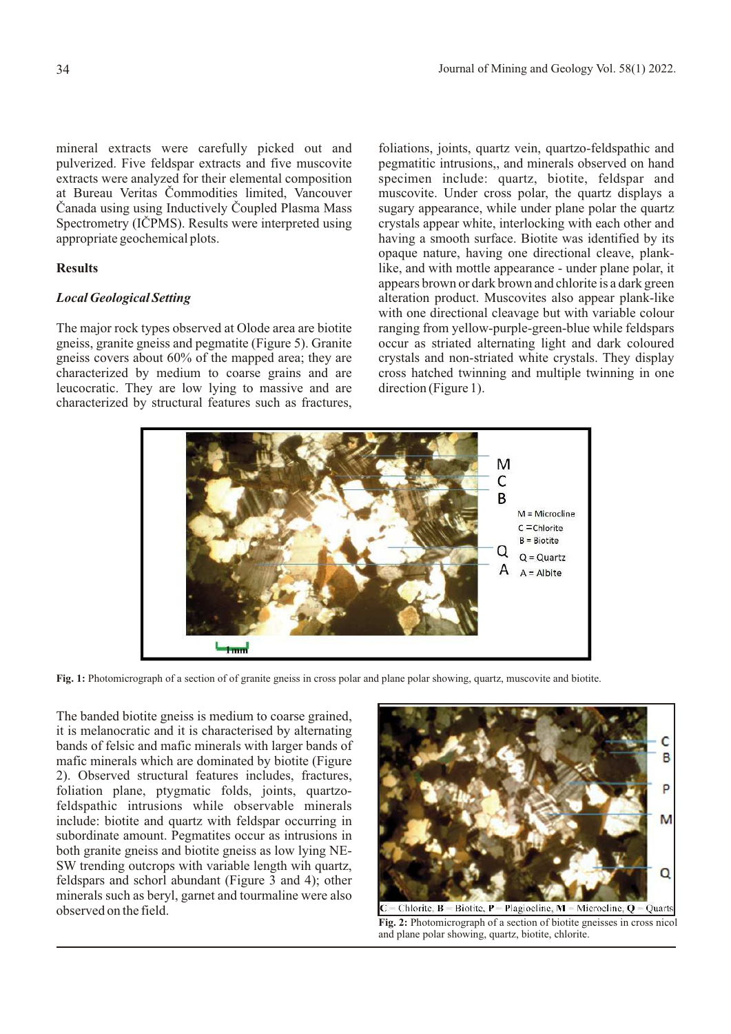mineral extracts were carefully picked out and pulverized. Five feldspar extracts and five muscovite extracts were analyzed for their elemental composition at Bureau Veritas Commodities limited, Vancouver Canada using using Inductively Coupled Plasma Mass Spectrometry (ICPMS). Results were interpreted using appropriate geochemical plots.

# **Results**

# *Local Geological Setting*

The major rock types observed at Olode area are biotite gneiss, granite gneiss and pegmatite (Figure 5). Granite gneiss covers about 60% of the mapped area; they are characterized by medium to coarse grains and are leucocratic. They are low lying to massive and are characterized by structural features such as fractures, foliations, joints, quartz vein, quartzo-feldspathic and pegmatitic intrusions,, and minerals observed on hand specimen include: quartz, biotite, feldspar and muscovite. Under cross polar, the quartz displays a sugary appearance, while under plane polar the quartz crystals appear white, interlocking with each other and having a smooth surface. Biotite was identified by its opaque nature, having one directional cleave, planklike, and with mottle appearance - under plane polar, it appears brown or dark brown and chlorite is a dark green alteration product. Muscovites also appear plank-like with one directional cleavage but with variable colour ranging from yellow-purple-green-blue while feldspars occur as striated alternating light and dark coloured crystals and non-striated white crystals. They display cross hatched twinning and multiple twinning in one direction (Figure 1).



**Fig. 1:** Photomicrograph of a section of of granite gneiss in cross polar and plane polar showing, quartz, muscovite and biotite.

The banded biotite gneiss is medium to coarse grained, it is melanocratic and it is characterised by alternating bands of felsic and mafic minerals with larger bands of mafic minerals which are dominated by biotite (Figure 2). Observed structural features includes, fractures, foliation plane, ptygmatic folds, joints, quartzofeldspathic intrusions while observable minerals include: biotite and quartz with feldspar occurring in subordinate amount. Pegmatites occur as intrusions in both granite gneiss and biotite gneiss as low lying NE-SW trending outcrops with variable length wih quartz, feldspars and schorl abundant (Figure 3 and 4); other minerals such as beryl, garnet and tourmaline were also observed on the field.



Chlorite,  $\overline{B}$  = Biotite,  $\overline{P}$  = Plagioeline,  $\overline{M}$  = Microeline,  $\overline{Q}$  = Quarts **Fig. 2:** Photomicrograph of a section of biotite gneisses in cross nicol and plane polar showing, quartz, biotite, chlorite.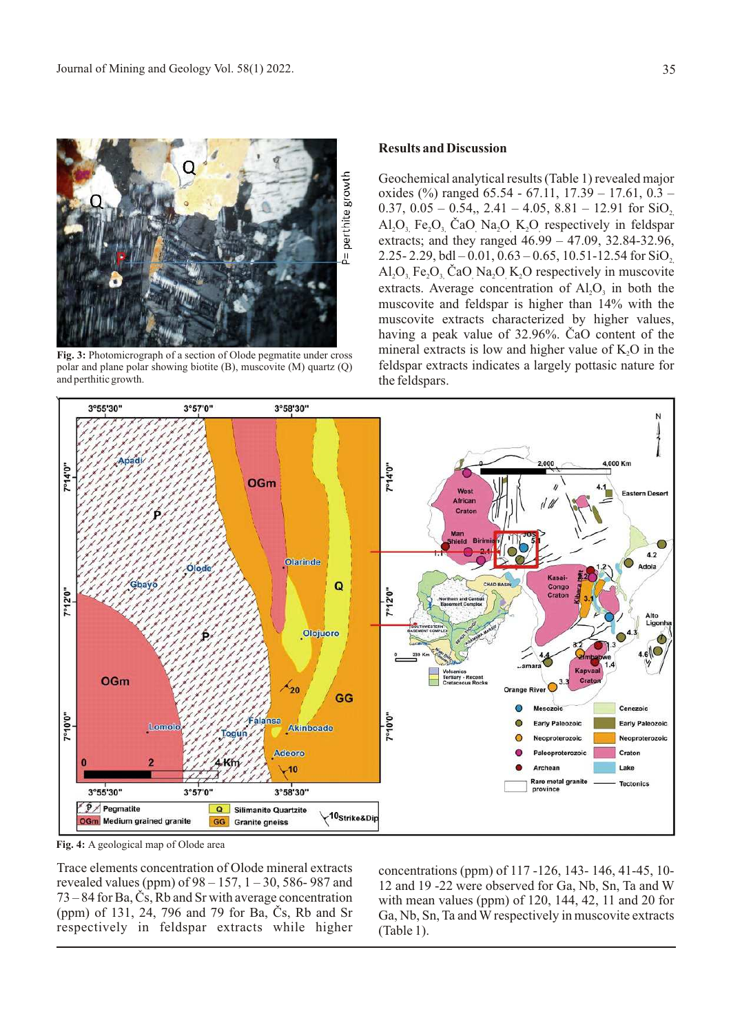

**Fig. 3:** Photomicrograph of a section of Olode pegmatite under cross polar and plane polar showing biotite (B), muscovite (M) quartz (Q) and perthitic growth.

# **Results and Discussion**

Geochemical analytical results (Table 1) revealed major oxides (%) ranged 65.54 - 67.11, 17.39 – 17.61, 0.3 – 0.37,  $0.05 - 0.54$ ,,  $2.41 - 4.05$ ,  $8.81 - 12.91$  for SiO<sub>2</sub>, Al, O, Fe, O, ČaO Na, O K, O respectively in feldspar extracts; and they ranged 46.99 – 47.09, 32.84-32.96, 2.25- 2.29, bdl – 0.01, 0.63 – 0.65, 10.51-12.54 for  $SiO<sub>2</sub>$  $A1, O$ , Fe,  $O$ , CaO Na, O K, O respectively in muscovite extracts. Average concentration of  $AI_1O_3$  in both the muscovite and feldspar is higher than 14% with the muscovite extracts characterized by higher values, having a peak value of 32.96%. ČaO content of the mineral extracts is low and higher value of  $K_2O$  in the feldspar extracts indicates a largely pottasic nature for the feldspars.



**Fig. 4:** A geological map of Olode area

Trace elements concentration of Olode mineral extracts revealed values (ppm) of  $98 - 157$ ,  $1 - 30$ , 586-987 and  $73 - 84$  for Ba,  $\check{C}s$ , Rb and Sr with average concentration (ppm) of 131, 24, 796 and 79 for Ba, Čs, Rb and Sr respectively in feldspar extracts while higher

concentrations (ppm) of 117 -126, 143- 146, 41-45, 10- 12 and 19 -22 were observed for Ga, Nb, Sn, Ta and W with mean values (ppm) of 120, 144, 42, 11 and 20 for Ga, Nb, Sn, Ta and W respectively in muscovite extracts (Table 1).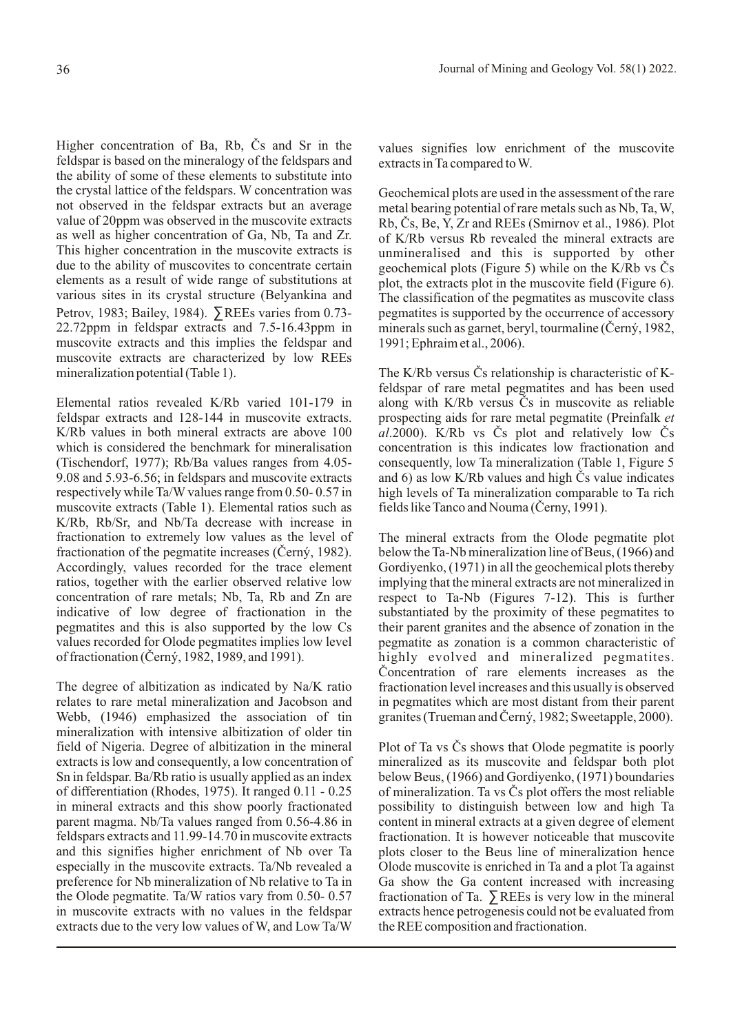Higher concentration of Ba, Rb, Cs and Sr in the feldspar is based on the mineralogy of the feldspars and the ability of some of these elements to substitute into the crystal lattice of the feldspars. W concentration was not observed in the feldspar extracts but an average value of 20ppm was observed in the muscovite extracts as well as higher concentration of Ga, Nb, Ta and Zr. This higher concentration in the muscovite extracts is due to the ability of muscovites to concentrate certain elements as a result of wide range of substitutions at various sites in its crystal structure (Belyankina and Petrov, 1983; Bailey, 1984). ∑REEs varies from 0.73- 22.72ppm in feldspar extracts and 7.5-16.43ppm in muscovite extracts and this implies the feldspar and muscovite extracts are characterized by low REEs mineralization potential (Table 1).

Elemental ratios revealed K/Rb varied 101-179 in feldspar extracts and 128-144 in muscovite extracts. K/Rb values in both mineral extracts are above 100 which is considered the benchmark for mineralisation (Tischendorf, 1977); Rb/Ba values ranges from 4.05- 9.08 and 5.93-6.56; in feldspars and muscovite extracts respectively while Ta/W values range from 0.50- 0.57 in muscovite extracts (Table 1). Elemental ratios such as K/Rb, Rb/Sr, and Nb/Ta decrease with increase in fractionation to extremely low values as the level of fractionation of the pegmatite increases (Èerný, 1982). Accordingly, values recorded for the trace element ratios, together with the earlier observed relative low concentration of rare metals; Nb, Ta, Rb and Zn are indicative of low degree of fractionation in the pegmatites and this is also supported by the low Cs values recorded for Olode pegmatites implies low level of fractionation (Èerný, 1982, 1989, and 1991).

The degree of albitization as indicated by Na/K ratio relates to rare metal mineralization and Jacobson and Webb, (1946) emphasized the association of tin mineralization with intensive albitization of older tin field of Nigeria. Degree of albitization in the mineral extracts is low and consequently, a low concentration of Sn in feldspar. Ba/Rb ratio is usually applied as an index of differentiation (Rhodes, 1975). It ranged 0.11 - 0.25 in mineral extracts and this show poorly fractionated parent magma. Nb/Ta values ranged from 0.56-4.86 in feldspars extracts and 11.99-14.70 in muscovite extracts and this signifies higher enrichment of Nb over Ta especially in the muscovite extracts. Ta/Nb revealed a preference for Nb mineralization of Nb relative to Ta in the Olode pegmatite. Ta/W ratios vary from 0.50- 0.57 in muscovite extracts with no values in the feldspar extracts due to the very low values of W, and Low Ta/W

values signifies low enrichment of the muscovite extracts in Ta compared to W.

Geochemical plots are used in the assessment of the rare metal bearing potential of rare metals such as Nb, Ta, W, Rb, Cs, Be, Y, Zr and REEs (Smirnov et al., 1986). Plot of K/Rb versus Rb revealed the mineral extracts are unmineralised and this is supported by other geochemical plots (Figure 5) while on the K/Rb vs Cs plot, the extracts plot in the muscovite field (Figure 6). The classification of the pegmatites as muscovite class pegmatites is supported by the occurrence of accessory minerals such as garnet, beryl, tourmaline (Èerný, 1982, 1991; Ephraim et al., 2006).

The K/Rb versus  $\check{C}$ s relationship is characteristic of Kfeldspar of rare metal pegmatites and has been used along with K/Rb versus  $\check{C}s$  in muscovite as reliable prospecting aids for rare metal pegmatite (Preinfalk *et*   $a$ *l*.2000). K/Rb vs  $\check{C}s$  plot and relatively low  $\check{C}s$ concentration is this indicates low fractionation and consequently, low Ta mineralization (Table 1, Figure 5 and 6) as low K/Rb values and high  $\check{C}$ s value indicates high levels of Ta mineralization comparable to Ta rich fields like Tanco and Nouma (Cerny, 1991).

The mineral extracts from the Olode pegmatite plot below the Ta-Nb mineralization line of Beus, (1966) and Gordiyenko, (1971) in all the geochemical plots thereby implying that the mineral extracts are not mineralized in respect to Ta-Nb (Figures 7-12). This is further substantiated by the proximity of these pegmatites to their parent granites and the absence of zonation in the pegmatite as zonation is a common characteristic of highly evolved and mineralized pegmatites. Concentration of rare elements increases as the fractionation level increases and this usually is observed in pegmatites which are most distant from their parent granites (Trueman and Èerný, 1982; Sweetapple, 2000).

Plot of Ta vs  $\check{C}s$  shows that Olode pegmatite is poorly mineralized as its muscovite and feldspar both plot below Beus, (1966) and Gordiyenko, (1971) boundaries of mineralization. Ta vs Cs plot offers the most reliable possibility to distinguish between low and high Ta content in mineral extracts at a given degree of element fractionation. It is however noticeable that muscovite plots closer to the Beus line of mineralization hence Olode muscovite is enriched in Ta and a plot Ta against Ga show the Ga content increased with increasing fractionation of Ta.  $\Sigma$ REEs is very low in the mineral extracts hence petrogenesis could not be evaluated from the REE composition and fractionation.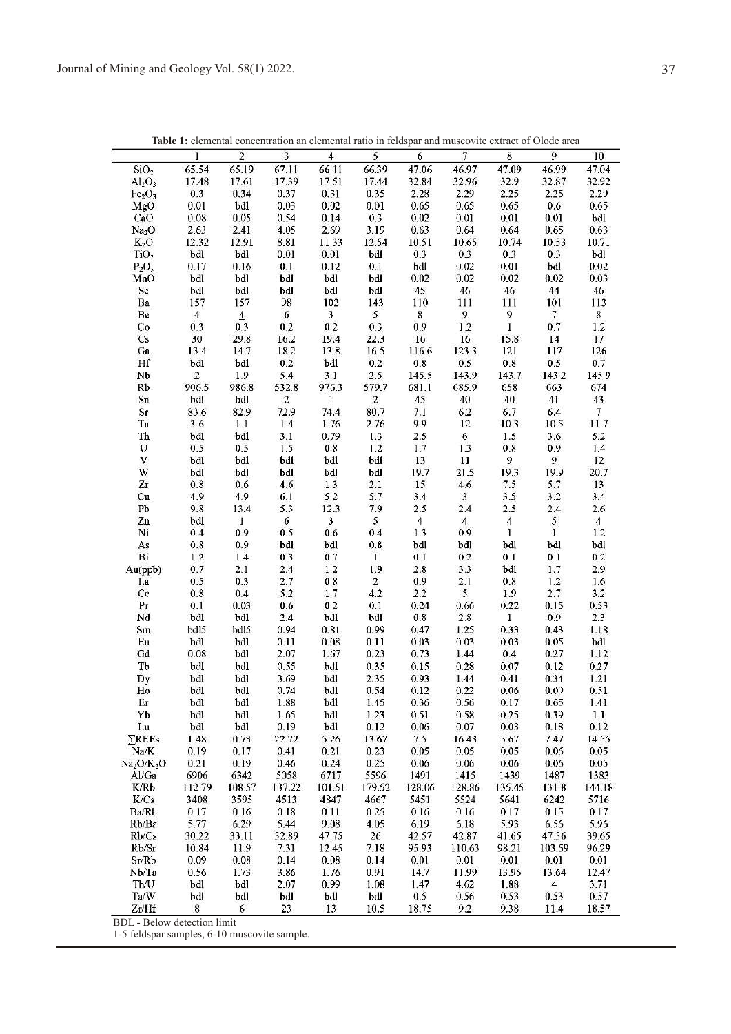|                                    | $\mathbf{I}$   | $\overline{\mathbf{2}}$ | $\overline{\mathbf{3}}$ | $\overline{4}$                 | 5              | $\overline{6}$  | $\overline{7}$  | 8                 | 9               | 10             |
|------------------------------------|----------------|-------------------------|-------------------------|--------------------------------|----------------|-----------------|-----------------|-------------------|-----------------|----------------|
| SiO <sub>2</sub>                   | 65.54          | 65.19                   | 67.11                   | 66.11                          | 66.39          | 47.06           | 46.97           | 47.09             | 46.99           | 47.04          |
| $Al_2O_3$                          | 17.48          | 17.61                   | 17.39                   | 17.51                          | 17.44          | 32.84           | 32.96           | 32.9              | 32.87           | 32.92          |
| $Fc_2O_3$                          | 0.3            | 0.34                    | 0.37                    | 0.31                           | 0.35           | 2.28            | 2.29            | 2.25              | 2.25            | 2.29           |
| MgO                                | 0.01           | bdl                     | 0.03                    | 0.02                           | 0.01           | 0.65            | 0.65            | 0.65              | 0.6             | 0.65           |
| CaO                                | 0.08           | 0.05                    | 0.54                    | 0.14                           | 0.3            | 0.02            | 0.01            | 0.01              | 0.01            | bdl            |
| Na <sub>2</sub> O                  | 2.63           | 2.41                    | 4.05                    | 2.69                           | 3.19           | 0.63            | 0.64            | 0.64              | 0.65            | 0.63           |
| $K_2O$                             | 12.32          | 12.91                   | 8.81                    | 11.33                          | 12.54          | 10.51           | 10.65           | 10.74             | 10.53           | 10.71          |
| TiO <sub>2</sub>                   | bdl            | bdl                     | 0.01                    | 0.01                           | bdl            | 0.3             | 0.3             | 0.3               | 0.3             | bdl            |
| $P_2O_5$                           | 0.17           | 0.16                    | 0.1                     | 0.12                           | 0.1            | bdl             | 0.02            | 0.01              | bdl             | 0.02           |
| MnO                                | bdl            | bdl                     | bdl                     | bdl                            | bdl            | 0.02            | 0.02            | 0.02              | 0.02            | 0.03           |
| Sc                                 | bdl            | bdl                     | bdl                     | bdl                            | bdl            | 45              | 46              | 46                | 44              | 46             |
| Ba                                 | 157            | 157                     | 98                      | 102                            | 143            | 110             | 111             | 111               | 101             | 113            |
| Be                                 | $\overline{4}$ | $\overline{4}$<br>0.3   | $\boldsymbol{6}$        | $\overline{\mathbf{3}}$<br>0.2 | 5 <sub>1</sub> | $\bf 8$         | $\frac{9}{1.2}$ | 9<br>$\mathbf{1}$ | $7\phantom{.0}$ | $\bf 8$        |
| Co                                 | 0.3<br>30      | 29.8                    | 0.2                     | 19.4                           | 0.3<br>22.3    | 0.9             |                 |                   | 0.7<br>14       | 1.2<br>$17\,$  |
| Cs<br>Ga                           | 13.4           | 14.7                    | 16.2<br>18.2            | 13.8                           | 16.5           | $16\,$<br>116.6 | 16<br>123.3     | 15.8<br>121       | 117             | 126            |
| Hľ                                 | bdl            | bdl                     | 0.2                     | bdl                            | 0.2            | 0.8             | 0.5             | 0.8               | 0.5             | 0.7            |
| Nb                                 | $\overline{2}$ | 1.9                     | 5.4                     | 3.1                            | 2.5            | 145.5           | 143.9           | 143.7             | 143.2           | 145.9          |
| Rb                                 | 906.5          | 986.8                   | 532.8                   | 976.3                          | 579.7          | 681.1           | 685.9           | 658               | 663             | 674            |
| Sn                                 | bdl            | bdl                     | $\sqrt{2}$              | $\mathbf{1}$                   | $\overline{2}$ | 45              | 40              | 40                | 41              | 43             |
| Sr                                 | 83.6           | 82.9                    | 72.9                    | 74.4                           | 80.7           | 7.1             | 6.2             | 6.7               | 6.4             | $\tau$         |
| Ta                                 | 3.6            | 1.1                     | $1.4$                   | 1.76                           | 2.76           | 9.9             | 12              | 10.3              | 10.5            | 11.7           |
| Th                                 | bdl            | bdl                     | 3.1                     | 0.79                           | 1.3            | 2.5             | 6               | 1.5               | 3.6             | 5.2            |
| U                                  | 0.5            | 0.5                     | 1.5                     | 0.8                            | 1.2            | 1.7             | 1.3             | 0.8               | 0.9             | 1.4            |
| $\mathbf V$                        | bdl            | bdl                     | bdl                     | bdl                            | bdl            | $13\,$          | 11              | 9                 | 9               | 12             |
| W                                  | bdl            | bdl                     | bdl                     | bdl                            | bdl            | 19.7            | 21.5            | 19.3              | 19.9            | 20.7           |
| Zr                                 | 0.8            | 0.6                     | 4.6                     | 1.3                            | 2.1            | 15              | 4.6             | 7.5               | 5.7             | $13$           |
| Cu                                 | 4.9            | 4.9                     | 6.1                     | 5.2                            | 5.7            | 3.4             | $\mathbf{3}$    | 3.5               | 3.2             | 3.4            |
| ${\rm Pb}$                         | 9.8            | 13.4                    | 5.3                     | 12.3                           | 7.9            | 2.5             | 2.4             | 2.5               | 2.4             | 2.6            |
| Zn                                 | bdl            | $\mathbf 1$             | $6\phantom{a}$          | $\overline{\mathbf{3}}$        | 5              | $\overline{4}$  | $\overline{4}$  | $\overline{4}$    | $\mathfrak{s}$  | $\overline{4}$ |
| Ni                                 | 0.4            | 0.9                     | 0.5                     | 0.6                            | 0.4            | 1.3             | 0.9             | $\bf{l}$          | $\mathbf{1}$    | 1.2            |
| As                                 | 0.8            | 0.9                     | bdl                     | bdl                            | 0.8            | bdl             | bdl             | bdl               | bdl             | bdl            |
| Bi                                 | 1.2            | 1.4                     | 0.3                     | 0.7                            | $\mathbf{I}$   | 0.1             | 0.2             | 0.1               | 0.1             | 0.2            |
| Au(ppb)                            | 0.7            | 2.1                     | 2.4                     | 1.2                            | 1.9            | 2.8             | 3.3             | bdl               | 1.7             | 2.9            |
| La                                 | 0.5            | 0.3                     | 2.7                     | 0.8                            | $\mathbf 2$    | 0.9             | 2.1             | 0.8               | 1.2             | 1.6            |
| Ce                                 | $0.8\,$        | 0.4                     | 5.2                     | 1.7                            | 4.2            | 2.2             | $\mathfrak{s}$  | 1.9               | 2.7             | 3.2            |
| Pr                                 | 0.1            | 0.03                    | 0.6                     | 0.2                            | 0.1            | 0.24            | 0.66            | 0.22              | 0.15            | 0.53           |
| Nd                                 | bdl            | bdl                     | 2.4                     | bdl                            | bdl            | $0.8\,$         | 2.8             | $\mathbf{1}$      | 0.9             | 2.3            |
| Sm                                 | bdl5           | bdl5                    | 0.94                    | 0.81                           | 0.99           | 0.47            | 1.25            | 0.33              | 0.43            | 1.18           |
| Eu                                 | bdl            | bdl                     | 0.11                    | 0.08                           | 0.11           | 0.03            | 0.03            | 0.03              | 0.05            | bdl            |
| Gd                                 | 0.08           | bdl                     | 2.07                    | 1.67                           | 0.23           | 0.73            | 1.44            | 0.4               | 0.27            | 1.12           |
| Tb                                 | bdl            | bdl                     | 0.55                    | bdl                            | 0.35           | 0.15            | 0.28            | 0.07              | 0.12            | 0.27           |
| Dy                                 | bdl            | bdl                     | 3.69                    | bdl                            | 2.35           | 0.93            | 1.44            | 0.41              | 0.34            | 1.21           |
| Ho                                 | bdl            | bdl                     | 0.74                    | bdl                            | 0.54           | 0.12            | 0.22            | 0.06              | 0.09            | 0.51           |
| Er                                 | bdl            | bdl                     | 1.88                    | bdl                            | 1.45           | 0.36            | 0.56            | 0.17              | 0.65            | 1.41           |
| Yb                                 | bdl            | bdl                     | 1.65                    | bdl                            | 1.23           | 0.51            | 0.58            | 0.25              | 0.39            | 1.1            |
| Lu                                 | bdl            | bdl                     | 0.19                    | bdl                            | 0.12           | 0.06            | 0.07            | 0.03              | 0.18            | 0.12           |
| <b>SREEs</b>                       | 1.48           | 0.73                    | 22.72                   | 5.26                           | 13.67          | 7.5             | 16.43           | 5.67              | 7.47            | 14.55          |
| Na/K                               | 0.19           | 0.17                    | 0.41                    | 0.21                           | 0.23           | 0.05            | 0.05            | 0.05              | 0.06            | 0.05           |
| Na <sub>2</sub> O/K <sub>2</sub> O | 0.21           | 0.19                    | 0.46                    | 0.24                           | 0.25           | 0.06            | 0.06            | 0.06              | 0.06            | 0.05           |
| Al/Ga                              | 6906           | 6342                    | 5058                    | 6717                           | 5596           | 1491            | 1415            | 1439              | 1487            | 1383           |
| K/Rb                               | 112.79         | 108.57                  | 137.22                  | 101.51                         | 179.52         | 128.06          | 128.86          | 135.45            | 131.8           | 144.18         |
| K/Cs                               | 3408           | 3595                    | 4513                    | 4847                           | 4667           | 5451            | 5524            | 5641              | 6242            | 5716           |
| Ba/Rb                              | 0.17           | 0.16                    | 0.18                    | 0.11                           | 0.25           | 0.16            | 0.16            | 0.17              | 0.15            | 0.17           |
| Rb/Ba                              | 5.77           | 6.29                    | 5.44                    | 9.08                           | 4.05           | 6.19            | 6.18            | 5.93              | 6.56            | 5.96           |
| Rb/Cs                              | 30.22          | 33.11                   | 32.89                   | 47.75                          | 26             | 42.57           | 42.87           | 41.65             | 47.36           | 39.65          |
| Rb/Sr                              | 10.84          | 11.9                    | 7.31                    | 12.45                          | 7.18           | 95.93           | 110.63          | 98.21             | 103.59          | 96.29          |
| Sr/Rb                              | 0.09           | 0.08                    | 0.14                    | 0.08                           | 0.14           | 0.01            | 0.01            | 0.01              | 0.01            | 0.01           |
| Nb/Ta                              | 0.56           | 1.73                    | 3.86                    | 1.76                           | 0.91           | 14.7            | 11.99           | 13.95             | 13.64           | 12.47          |
| Th/U                               | bdl            | bdl                     | 2.07                    | 0.99                           | 1.08           | 1.47            | 4.62            | 1.88              | $\overline{4}$  | 3.71           |
| Ta/W                               | bdl            | bdl                     | bdl                     | bdl                            | bdl            | 0.5             | 0.56            | 0.53              | 0.53            | 0.57           |
| Zr/Hf                              | 8              | 6                       | 23                      | 13                             | 10.5           | 18.75           | 9.2             | 9.38              | 11.4            | 18.57          |

**Table 1:** elemental concentration an elemental ratio in feldspar and muscovite extract of Olode area

BDL - Below detection limit

1-5 feldspar samples, 6-10 muscovite sample.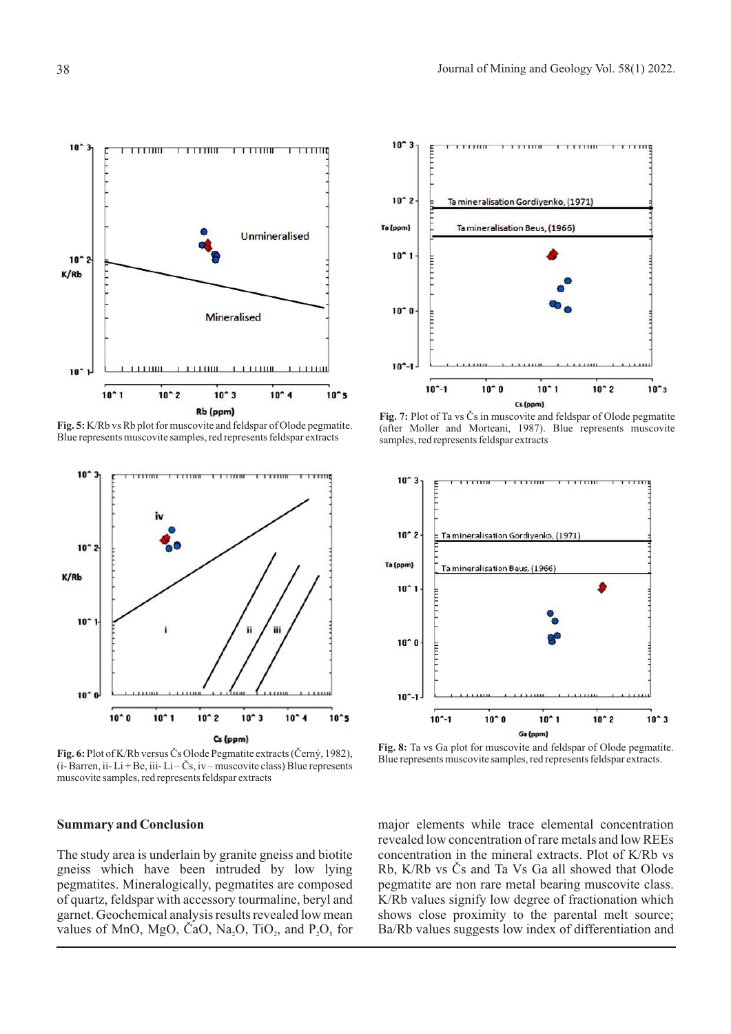

**Fig. 5:** K/Rb vs Rb plot for muscovite and feldspar of Olode pegmatite. Blue represents muscovite samples, red represents feldspar extracts



Fig. 6: Plot of K/Rb versus Čs Olode Pegmatite extracts (Černý, 1982),  $(i- Barren, ii- Li+Be, iii- Li-Čs, iv-muscovite class) Blue represents$ muscovite samples, red represents feldspar extracts

### **Summary and Conclusion**

The study area is underlain by granite gneiss and biotite gneiss which have been intruded by low lying pegmatites. Mineralogically, pegmatites are composed of quartz, feldspar with accessory tourmaline, beryl and garnet. Geochemical analysis results revealed low mean values of MnO, MgO, ČaO, Na<sub>2</sub>O, TiO<sub>2</sub>, and  $P_2O_5$  for



**Fig. 7:** Plot of Ta vs Čs in muscovite and feldspar of Olode pegmatite (after Moller and Morteani, 1987). Blue represents muscovite samples, red represents feldspar extracts



**Fig. 8:** Ta vs Ga plot for muscovite and feldspar of Olode pegmatite. Blue represents muscovite samples, red represents feldspar extracts.

major elements while trace elemental concentration revealed low concentration of rare metals and low REEs concentration in the mineral extracts. Plot of K/Rb vs Rb, K/Rb vs Cs and Ta Vs Ga all showed that Olode pegmatite are non rare metal bearing muscovite class. K/Rb values signify low degree of fractionation which shows close proximity to the parental melt source; Ba/Rb values suggests low index of differentiation and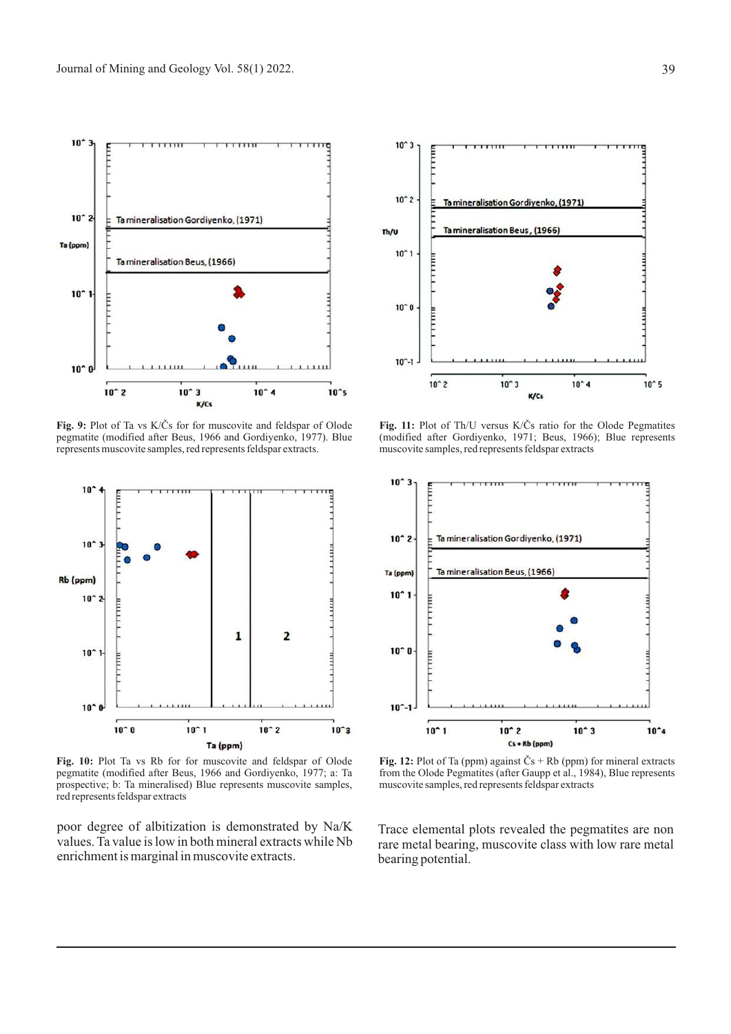

Fig. 9: Plot of Ta vs K/Čs for for muscovite and feldspar of Olode pegmatite (modified after Beus, 1966 and Gordiyenko, 1977). Blue represents muscovite samples, red represents feldspar extracts.



**Fig. 10:** Plot Ta vs Rb for for muscovite and feldspar of Olode pegmatite (modified after Beus, 1966 and Gordiyenko, 1977; a: Ta prospective; b: Ta mineralised) Blue represents muscovite samples, red represents feldspar extracts

poor degree of albitization is demonstrated by Na/K values. Ta value is low in both mineral extracts while Nb enrichment is marginal in muscovite extracts.



Fig. 11: Plot of Th/U versus K/Čs ratio for the Olode Pegmatites (modified after Gordiyenko, 1971; Beus, 1966); Blue represents muscovite samples, red represents feldspar extracts



**Fig. 12:** Plot of Ta (ppm) against  $\check{C}s$  + Rb (ppm) for mineral extracts from the Olode Pegmatites (after Gaupp et al., 1984), Blue represents muscovite samples, red represents feldspar extracts

Trace elemental plots revealed the pegmatites are non rare metal bearing, muscovite class with low rare metal bearing potential.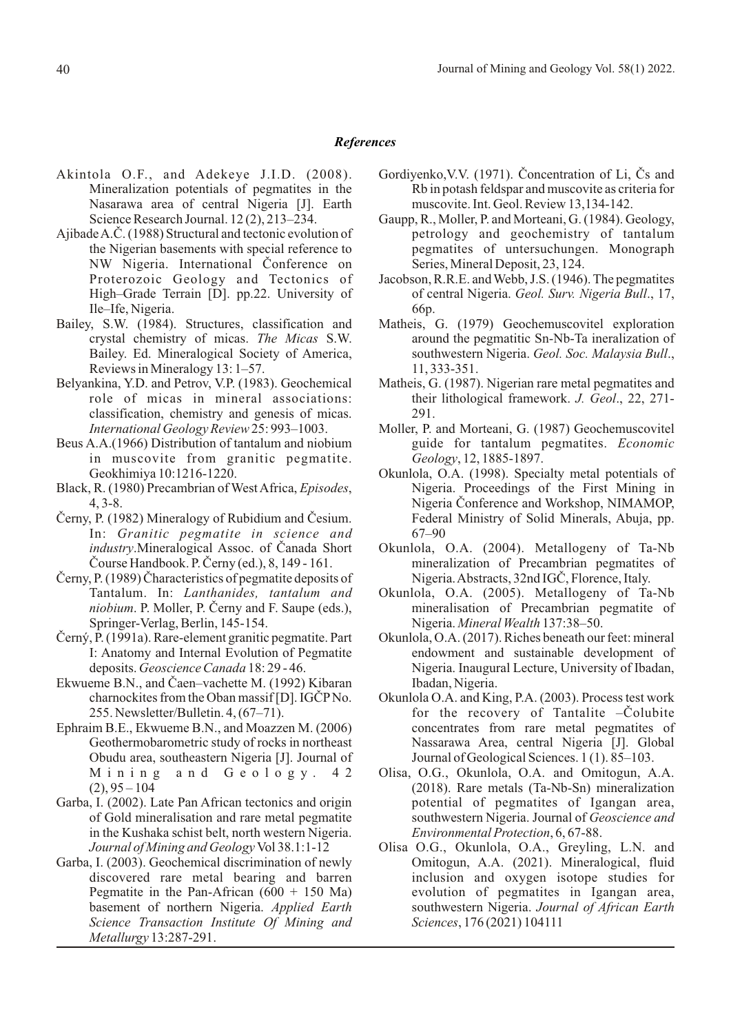# *References*

- Akintola O.F., and Adekeye J.I.D. (2008). Mineralization potentials of pegmatites in the Nasarawa area of central Nigeria [J]. Earth Science Research Journal. 12 (2), 213–234.
- Ajibade A.C. (1988) Structural and tectonic evolution of the Nigerian basements with special reference to NW Nigeria. International Conference on Proterozoic Geology and Tectonics of High–Grade Terrain [D]. pp.22. University of Ile–Ife, Nigeria.
- Bailey, S.W. (1984). Structures, classification and crystal chemistry of micas. *The Micas* S.W. Bailey. Ed. Mineralogical Society of America, Reviews in Mineralogy 13: 1–57.
- Belyankina, Y.D. and Petrov, V.P. (1983). Geochemical role of micas in mineral associations: classification, chemistry and genesis of micas. *International Geology Review* 25: 993–1003.
- Beus A.A.(1966) Distribution of tantalum and niobium in muscovite from granitic pegmatite. Geokhimiya 10:1216-1220.
- Black, R. (1980) Precambrian of West Africa, *Episodes*, 4, 3-8.
- Cerny, P. (1982) Mineralogy of Rubidium and Cesium. In: *Granitic pegmatite in science and industry*.Mineralogical Assoc. of Canada Short Course Handbook. P. Cerny (ed.), 8, 149 - 161.
- Cerny, P. (1989) Characteristics of pegmatite deposits of Tantalum. In: *Lanthanides, tantalum and niobium*. P. Moller, P. Černy and F. Saupe (eds.), Springer-Verlag, Berlin, 145-154.
- Èerný, P. (1991a). Rare-element granitic pegmatite. Part I: Anatomy and Internal Evolution of Pegmatite deposits. *Geoscience Canada* 18: 29 - 46.
- Ekwueme B.N., and Caen–vachette M. (1992) Kibaran charnockites from the Oban massif [D]. IGCP No. 255. Newsletter/Bulletin. 4, (67–71).
- Ephraim B.E., Ekwueme B.N., and Moazzen M. (2006) Geothermobarometric study of rocks in northeast Obudu area, southeastern Nigeria [J]. Journal of Mining and Geology. 42  $(2), 95 - 104$
- Garba, I. (2002). Late Pan African tectonics and origin of Gold mineralisation and rare metal pegmatite in the Kushaka schist belt, north western Nigeria. *Journal of Mining and Geology* Vol 38.1:1-12
- Garba, I. (2003). Geochemical discrimination of newly discovered rare metal bearing and barren Pegmatite in the Pan-African  $(600 + 150 \text{ Ma})$ basement of northern Nigeria. *Applied Earth Science Transaction Institute Of Mining and Metallurgy* 13:287-291.
- Gordiyenko, V.V. (1971). Concentration of Li, Cs and Rb in potash feldspar and muscovite as criteria for muscovite. Int. Geol. Review 13,134-142.
- Gaupp, R., Moller, P. and Morteani, G. (1984). Geology, petrology and geochemistry of tantalum pegmatites of untersuchungen. Monograph Series, Mineral Deposit, 23, 124.
- Jacobson, R.R.E. and Webb, J.S. (1946). The pegmatites of central Nigeria. *Geol. Surv. Nigeria Bull*., 17, 66p.
- Matheis, G. (1979) Geochemuscovitel exploration around the pegmatitic Sn-Nb-Ta ineralization of southwestern Nigeria. *Geol. Soc. Malaysia Bull*., 11, 333-351.
- Matheis, G. (1987). Nigerian rare metal pegmatites and their lithological framework. *J. Geol*., 22, 271- 291.
- Moller, P. and Morteani, G. (1987) Geochemuscovitel guide for tantalum pegmatites. *Economic Geology*, 12, 1885-1897.
- Okunlola, O.A. (1998). Specialty metal potentials of Nigeria. Proceedings of the First Mining in Nigeria Conference and Workshop, NIMAMOP, Federal Ministry of Solid Minerals, Abuja, pp. 67–90
- Okunlola, O.A. (2004). Metallogeny of Ta-Nb mineralization of Precambrian pegmatites of Nigeria. Abstracts, 32nd IGC, Florence, Italy.
- Okunlola, O.A. (2005). Metallogeny of Ta-Nb mineralisation of Precambrian pegmatite of Nigeria. *Mineral Wealth* 137:38–50.
- Okunlola, O.A. (2017). Riches beneath our feet: mineral endowment and sustainable development of Nigeria. Inaugural Lecture, University of Ibadan, Ibadan, Nigeria.
- Okunlola O.A. and King, P.A. (2003). Process test work for the recovery of Tantalite  $-\dot{C}$ olubite concentrates from rare metal pegmatites of Nassarawa Area, central Nigeria [J]. Global Journal of Geological Sciences. 1 (1). 85–103.
- Olisa, O.G., Okunlola, O.A. and Omitogun, A.A. (2018). Rare metals (Ta-Nb-Sn) mineralization potential of pegmatites of Igangan area, southwestern Nigeria. Journal of *Geoscience and Environmental Protection*, 6, 67-88.
- Olisa O.G., Okunlola, O.A., Greyling, L.N. and Omitogun, A.A. (2021). Mineralogical, fluid inclusion and oxygen isotope studies for evolution of pegmatites in Igangan area, southwestern Nigeria. *Journal of African Earth Sciences*, 176 (2021) 104111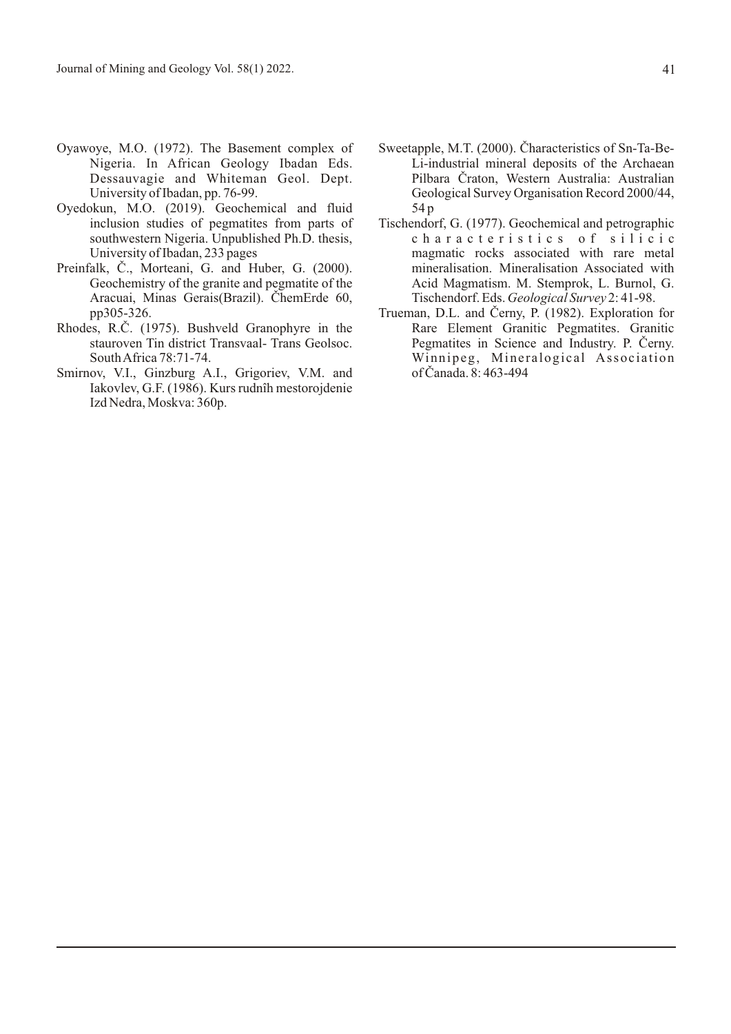- Oyawoye, M.O. (1972). The Basement complex of Nigeria. In African Geology Ibadan Eds. Dessauvagie and Whiteman Geol. Dept. University of Ibadan, pp. 76-99.
- Oyedokun, M.O. (2019). Geochemical and fluid inclusion studies of pegmatites from parts of southwestern Nigeria. Unpublished Ph.D. thesis, University of Ibadan, 233 pages
- Preinfalk, Č., Morteani, G. and Huber, G. (2000). Geochemistry of the granite and pegmatite of the Aracuai, Minas Gerais(Brazil). ChemErde 60, pp305-326.
- Rhodes, R.C. (1975). Bushveld Granophyre in the stauroven Tin district Transvaal- Trans Geolsoc. South Africa 78:71-74.
- Smirnov, V.I., Ginzburg A.I., Grigoriev, V.M. and Iakovlev, G.F. (1986). Kurs rudnîh mestorojdenie Izd Nedra, Moskva: 360p.
- Sweetapple, M.T. (2000). Characteristics of Sn-Ta-Be-Li-industrial mineral deposits of the Archaean Pilbara Craton, Western Australia: Australian Geological Survey Organisation Record 2000/44, 54 p
- Tischendorf, G. (1977). Geochemical and petrographic characteristics of silicic magmatic rocks associated with rare metal mineralisation. Mineralisation Associated with Acid Magmatism. M. Stemprok, L. Burnol, G. Tischendorf. Eds. *Geological Survey* 2: 41-98.
- Trueman, D.L. and Cerny, P. (1982). Exploration for Rare Element Granitic Pegmatites. Granitic Pegmatites in Science and Industry. P. Cerny. Winnipeg, Mineralogical Association of Canada. 8: 463-494